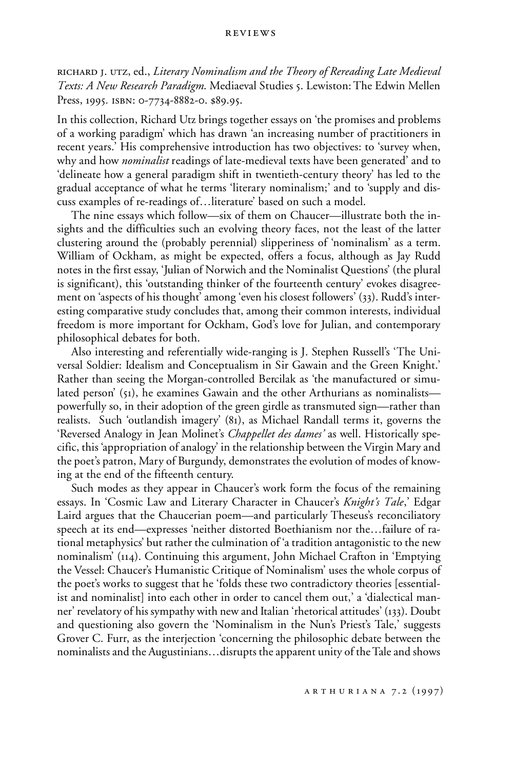richard j. utz, ed., *Literary Nominalism and the Theory of Rereading Late Medieval Texts: A New Research Paradigm*. Mediaeval Studies 5. Lewiston: The Edwin Mellen Press, 1995. ISBN: 0-7734-8882-0. \$89.95.

In this collection, Richard Utz brings together essays on 'the promises and problems of a working paradigm' which has drawn 'an increasing number of practitioners in recent years.' His comprehensive introduction has two objectives: to 'survey when, why and how *nominalist* readings of late-medieval texts have been generated' and to 'delineate how a general paradigm shift in twentieth-century theory' has led to the gradual acceptance of what he terms 'literary nominalism;' and to 'supply and discuss examples of re-readings of…literature' based on such a model.

The nine essays which follow—six of them on Chaucer—illustrate both the insights and the difficulties such an evolving theory faces, not the least of the latter clustering around the (probably perennial) slipperiness of 'nominalism' as a term. William of Ockham, as might be expected, offers a focus, although as Jay Rudd notes in the first essay, 'Julian of Norwich and the Nominalist Questions' (the plural is significant), this 'outstanding thinker of the fourteenth century' evokes disagreement on 'aspects of his thought' among 'even his closest followers' (33). Rudd's interesting comparative study concludes that, among their common interests, individual freedom is more important for Ockham, God's love for Julian, and contemporary philosophical debates for both.

Also interesting and referentially wide-ranging is J. Stephen Russell's 'The Universal Soldier: Idealism and Conceptualism in Sir Gawain and the Green Knight.' Rather than seeing the Morgan-controlled Bercilak as 'the manufactured or simulated person' (51), he examines Gawain and the other Arthurians as nominalists powerfully so, in their adoption of the green girdle as transmuted sign—rather than realists. Such 'outlandish imagery' (81), as Michael Randall terms it, governs the 'Reversed Analogy in Jean Molinet's *Chappellet des dames'* as well. Historically specific, this 'appropriation of analogy' in the relationship between the Virgin Mary and the poet's patron, Mary of Burgundy, demonstrates the evolution of modes of knowing at the end of the fifteenth century.

Such modes as they appear in Chaucer's work form the focus of the remaining essays. In 'Cosmic Law and Literary Character in Chaucer's *Knight's Tale*,' Edgar Laird argues that the Chaucerian poem—and particularly Theseus's reconciliatory speech at its end—expresses 'neither distorted Boethianism nor the…failure of rational metaphysics' but rather the culmination of 'a tradition antagonistic to the new nominalism' (114). Continuing this argument, John Michael Crafton in 'Emptying the Vessel: Chaucer's Humanistic Critique of Nominalism' uses the whole corpus of the poet's works to suggest that he 'folds these two contradictory theories [essentialist and nominalist] into each other in order to cancel them out,' a 'dialectical manner' revelatory of his sympathy with new and Italian 'rhetorical attitudes' (133). Doubt and questioning also govern the 'Nominalism in the Nun's Priest's Tale,' suggests Grover C. Furr, as the interjection 'concerning the philosophic debate between the nominalists and the Augustinians…disrupts the apparent unity of the Tale and shows